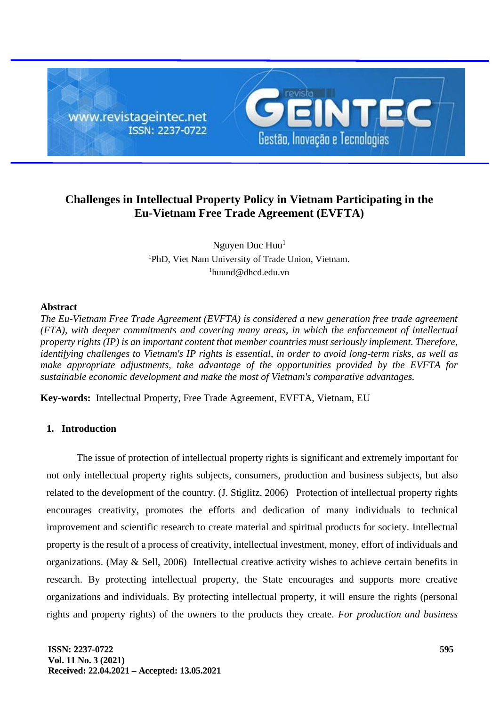

# **Challenges in Intellectual Property Policy in Vietnam Participating in the Eu-Vietnam Free Trade Agreement (EVFTA)**

Nguyen Duc  $Huu<sup>1</sup>$ <sup>1</sup>PhD, Viet Nam University of Trade Union, Vietnam.  $1$ [huund@dhcd.edu.vn](mailto:huund@dhcd.edu.vn)

#### **Abstract**

*The Eu-Vietnam Free Trade Agreement (EVFTA) is considered a new generation free trade agreement (FTA), with deeper commitments and covering many areas, in which the enforcement of intellectual property rights (IP) is an important content that member countries must seriously implement. Therefore, identifying challenges to Vietnam's IP rights is essential, in order to avoid long-term risks, as well as make appropriate adjustments, take advantage of the opportunities provided by the EVFTA for sustainable economic development and make the most of Vietnam's comparative advantages.*

**Key-words:** Intellectual Property, Free Trade Agreement, EVFTA, Vietnam, EU

## **1. Introduction**

The issue of protection of intellectual property rights is significant and extremely important for not only intellectual property rights subjects, consumers, production and business subjects, but also related to the development of the country. (J. Stiglitz, 2006) Protection of intellectual property rights encourages creativity, promotes the efforts and dedication of many individuals to technical improvement and scientific research to create material and spiritual products for society. Intellectual property is the result of a process of creativity, intellectual investment, money, effort of individuals and organizations. (May & Sell, 2006) Intellectual creative activity wishes to achieve certain benefits in research. By protecting intellectual property, the State encourages and supports more creative organizations and individuals. By protecting intellectual property, it will ensure the rights (personal rights and property rights) of the owners to the products they create. *For production and business*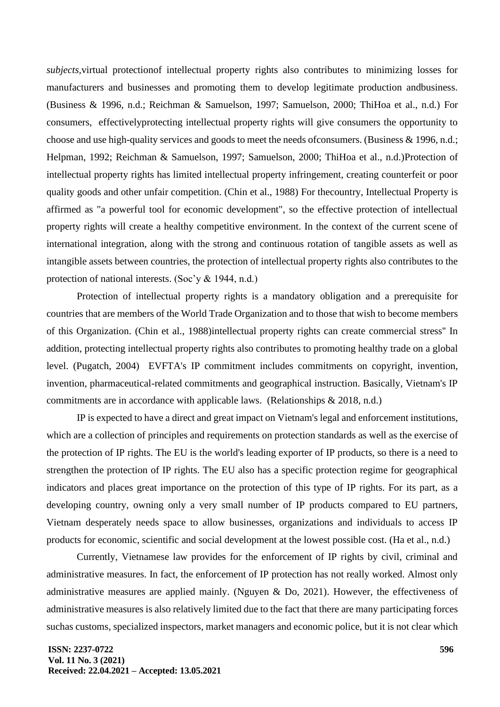*subjects,*virtual protectionof intellectual property rights also contributes to minimizing losses for manufacturers and businesses and promoting them to develop legitimate production andbusiness. (Business & 1996, n.d.; Reichman & Samuelson, 1997; Samuelson, 2000; ThiHoa et al., n.d.) For consumers, effectivelyprotecting intellectual property rights will give consumers the opportunity to choose and use high-quality services and goods to meet the needs ofconsumers. (Business & 1996, n.d.; Helpman, 1992; Reichman & Samuelson, 1997; Samuelson, 2000; ThiHoa et al., n.d.)Protection of intellectual property rights has limited intellectual property infringement, creating counterfeit or poor quality goods and other unfair competition. (Chin et al., 1988) For thecountry, Intellectual Property is affirmed as "a powerful tool for economic development", so the effective protection of intellectual property rights will create a healthy competitive environment. In the context of the current scene of international integration, along with the strong and continuous rotation of tangible assets as well as intangible assets between countries, the protection of intellectual property rights also contributes to the protection of national interests. (Soc'y & 1944, n.d.)

Protection of intellectual property rights is a mandatory obligation and a prerequisite for countries that are members of the World Trade Organization and to those that wish to become members of this Organization. (Chin et al., 1988)intellectual property rights can create commercial stress'' In addition, protecting intellectual property rights also contributes to promoting healthy trade on a global level. (Pugatch, 2004) EVFTA's IP commitment includes commitments on copyright, invention, invention, pharmaceutical-related commitments and geographical instruction. Basically, Vietnam's IP commitments are in accordance with applicable laws. (Relationships & 2018, n.d.)

IP is expected to have a direct and great impact on Vietnam's legal and enforcement institutions, which are a collection of principles and requirements on protection standards as well as the exercise of the protection of IP rights. The EU is the world's leading exporter of IP products, so there is a need to strengthen the protection of IP rights. The EU also has a specific protection regime for geographical indicators and places great importance on the protection of this type of IP rights. For its part, as a developing country, owning only a very small number of IP products compared to EU partners, Vietnam desperately needs space to allow businesses, organizations and individuals to access IP products for economic, scientific and social development at the lowest possible cost. (Ha et al., n.d.)

Currently, Vietnamese law provides for the enforcement of IP rights by civil, criminal and administrative measures. In fact, the enforcement of IP protection has not really worked. Almost only administrative measures are applied mainly. (Nguyen & Do, 2021). However, the effectiveness of administrative measures is also relatively limited due to the fact that there are many participating forces suchas customs, specialized inspectors, market managers and economic police, but it is not clear which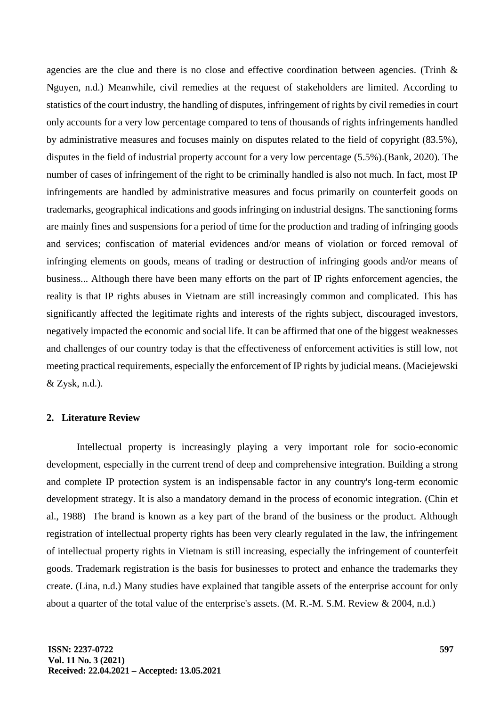agencies are the clue and there is no close and effective coordination between agencies. (Trinh & Nguyen, n.d.) Meanwhile, civil remedies at the request of stakeholders are limited. According to statistics of the court industry, the handling of disputes, infringement of rights by civil remedies in court only accounts for a very low percentage compared to tens of thousands of rights infringements handled by administrative measures and focuses mainly on disputes related to the field of copyright (83.5%), disputes in the field of industrial property account for a very low percentage (5.5%).(Bank, 2020). The number of cases of infringement of the right to be criminally handled is also not much. In fact, most IP infringements are handled by administrative measures and focus primarily on counterfeit goods on trademarks, geographical indications and goods infringing on industrial designs. The sanctioning forms are mainly fines and suspensions for a period of time for the production and trading of infringing goods and services; confiscation of material evidences and/or means of violation or forced removal of infringing elements on goods, means of trading or destruction of infringing goods and/or means of business... Although there have been many efforts on the part of IP rights enforcement agencies, the reality is that IP rights abuses in Vietnam are still increasingly common and complicated. This has significantly affected the legitimate rights and interests of the rights subject, discouraged investors, negatively impacted the economic and social life. It can be affirmed that one of the biggest weaknesses and challenges of our country today is that the effectiveness of enforcement activities is still low, not meeting practical requirements, especially the enforcement of IP rights by judicial means. (Maciejewski & Zysk, n.d.).

# **2. Literature Review**

Intellectual property is increasingly playing a very important role for socio-economic development, especially in the current trend of deep and comprehensive integration. Building a strong and complete IP protection system is an indispensable factor in any country's long-term economic development strategy. It is also a mandatory demand in the process of economic integration*.* (Chin et al., 1988) The brand is known as a key part of the brand of the business or the product. Although registration of intellectual property rights has been very clearly regulated in the law, the infringement of intellectual property rights in Vietnam is still increasing, especially the infringement of counterfeit goods. Trademark registration is the basis for businesses to protect and enhance the trademarks they create. (Lina, n.d.) Many studies have explained that tangible assets of the enterprise account for only about a quarter of the total value of the enterprise's assets. (M. R.-M. S.M. Review & 2004, n.d.)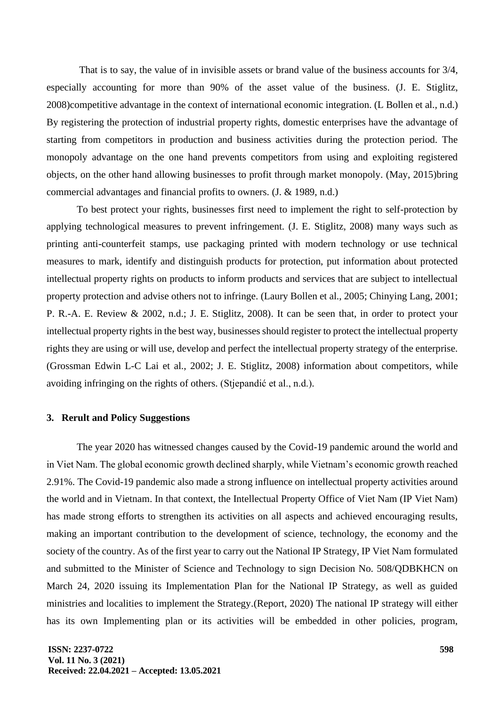That is to say, the value of in invisible assets or brand value of the business accounts for 3/4, especially accounting for more than 90% of the asset value of the business. (J. E. Stiglitz, 2008)competitive advantage in the context of international economic integration. (L Bollen et al., n.d.) By registering the protection of industrial property rights, domestic enterprises have the advantage of starting from competitors in production and business activities during the protection period. The monopoly advantage on the one hand prevents competitors from using and exploiting registered objects, on the other hand allowing businesses to profit through market monopoly. (May, 2015)bring commercial advantages and financial profits to owners. (J. & 1989, n.d.)

To best protect your rights, businesses first need to implement the right to self-protection by applying technological measures to prevent infringement. (J. E. Stiglitz, 2008) many ways such as printing anti-counterfeit stamps, use packaging printed with modern technology or use technical measures to mark, identify and distinguish products for protection, put information about protected intellectual property rights on products to inform products and services that are subject to intellectual property protection and advise others not to infringe. (Laury Bollen et al., 2005; Chinying Lang, 2001; P. R.-A. E. Review & 2002, n.d.; J. E. Stiglitz, 2008). It can be seen that, in order to protect your intellectual property rights in the best way, businesses should register to protect the intellectual property rights they are using or will use, develop and perfect the intellectual property strategy of the enterprise. (Grossman Edwin L-C Lai et al., 2002; J. E. Stiglitz, 2008) information about competitors, while avoiding infringing on the rights of others. (Stjepandić et al., n.d.).

# **3. Rerult and Policy Suggestions**

The year 2020 has witnessed changes caused by the Covid-19 pandemic around the world and in Viet Nam. The global economic growth declined sharply, while Vietnam's economic growth reached 2.91%. The Covid-19 pandemic also made a strong influence on intellectual property activities around the world and in Vietnam. In that context, the Intellectual Property Office of Viet Nam (IP Viet Nam) has made strong efforts to strengthen its activities on all aspects and achieved encouraging results, making an important contribution to the development of science, technology, the economy and the society of the country. As of the first year to carry out the National IP Strategy, IP Viet Nam formulated and submitted to the Minister of Science and Technology to sign Decision No. 508/QDBKHCN on March 24, 2020 issuing its Implementation Plan for the National IP Strategy, as well as guided ministries and localities to implement the Strategy.(Report, 2020) The national IP strategy will either has its own Implementing plan or its activities will be embedded in other policies, program,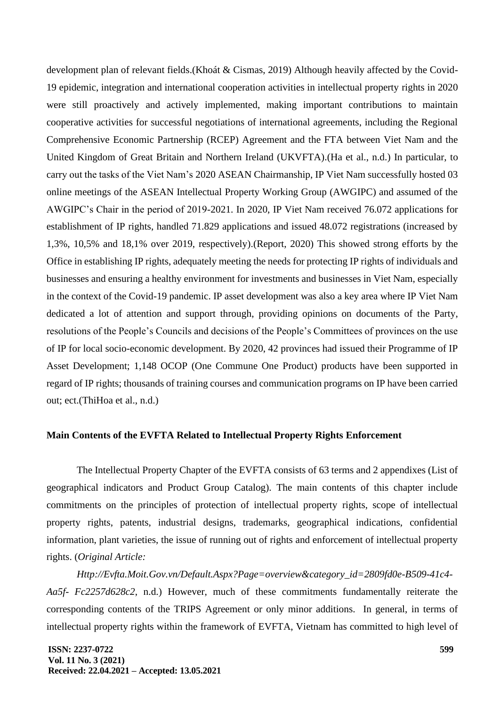development plan of relevant fields.(Khoát & Cismas, 2019) Although heavily affected by the Covid-19 epidemic, integration and international cooperation activities in intellectual property rights in 2020 were still proactively and actively implemented, making important contributions to maintain cooperative activities for successful negotiations of international agreements, including the Regional Comprehensive Economic Partnership (RCEP) Agreement and the FTA between Viet Nam and the United Kingdom of Great Britain and Northern Ireland (UKVFTA).(Ha et al., n.d.) In particular, to carry out the tasks of the Viet Nam's 2020 ASEAN Chairmanship, IP Viet Nam successfully hosted 03 online meetings of the ASEAN Intellectual Property Working Group (AWGIPC) and assumed of the AWGIPC's Chair in the period of 2019-2021. In 2020, IP Viet Nam received 76.072 applications for establishment of IP rights, handled 71.829 applications and issued 48.072 registrations (increased by 1,3%, 10,5% and 18,1% over 2019, respectively).(Report, 2020) This showed strong efforts by the Office in establishing IP rights, adequately meeting the needs for protecting IP rights of individuals and businesses and ensuring a healthy environment for investments and businesses in Viet Nam, especially in the context of the Covid-19 pandemic. IP asset development was also a key area where IP Viet Nam dedicated a lot of attention and support through, providing opinions on documents of the Party, resolutions of the People's Councils and decisions of the People's Committees of provinces on the use of IP for local socio-economic development. By 2020, 42 provinces had issued their Programme of IP Asset Development; 1,148 OCOP (One Commune One Product) products have been supported in regard of IP rights; thousands of training courses and communication programs on IP have been carried out; ect.(ThiHoa et al., n.d.)

#### **Main Contents of the EVFTA Related to Intellectual Property Rights Enforcement**

The Intellectual Property Chapter of the EVFTA consists of 63 terms and 2 appendixes (List of geographical indicators and Product Group Catalog). The main contents of this chapter include commitments on the principles of protection of intellectual property rights, scope of intellectual property rights, patents, industrial designs, trademarks, geographical indications, confidential information, plant varieties, the issue of running out of rights and enforcement of intellectual property rights. (*Original Article:* 

*Http://Evfta.Moit.Gov.vn/Default.Aspx?Page=overview&category\_id=2809fd0e-B509-41c4- Aa5f- Fc2257d628c2*, n.d.) However, much of these commitments fundamentally reiterate the corresponding contents of the TRIPS Agreement or only minor additions. In general, in terms of intellectual property rights within the framework of EVFTA, Vietnam has committed to high level of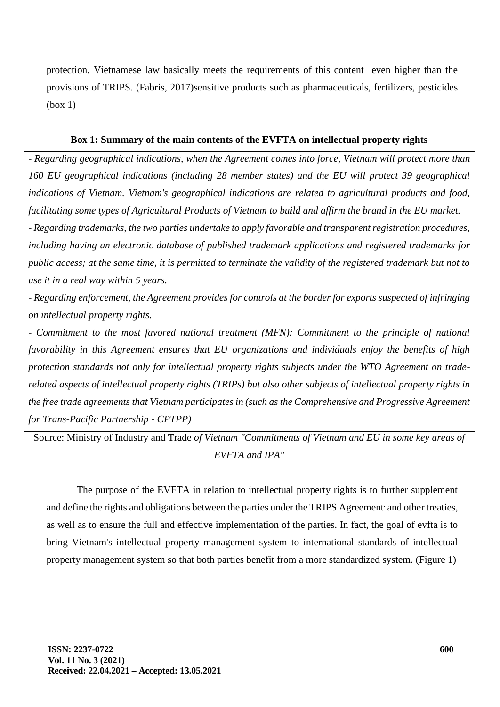protection. Vietnamese law basically meets the requirements of this content even higher than the provisions of TRIPS. (Fabris, 2017)sensitive products such as pharmaceuticals, fertilizers, pesticides (box 1)

### **Box 1: Summary of the main contents of the EVFTA on intellectual property rights**

*- Regarding geographical indications, when the Agreement comes into force, Vietnam will protect more than 160 EU geographical indications (including 28 member states) and the EU will protect 39 geographical indications of Vietnam. Vietnam's geographical indications are related to agricultural products and food, facilitating some types of Agricultural Products of Vietnam to build and affirm the brand in the EU market. - Regarding trademarks, the two parties undertake to apply favorable and transparent registration procedures, including having an electronic database of published trademark applications and registered trademarks for public access; at the same time, it is permitted to terminate the validity of the registered trademark but not to use it in a real way within 5 years.*

*- Regarding enforcement, the Agreement provides for controls at the border for exports suspected of infringing on intellectual property rights.*

*- Commitment to the most favored national treatment (MFN): Commitment to the principle of national favorability in this Agreement ensures that EU organizations and individuals enjoy the benefits of high protection standards not only for intellectual property rights subjects under the WTO Agreement on traderelated aspects of intellectual property rights (TRIPs) but also other subjects of intellectual property rights in the free trade agreements that Vietnam participates in (such as the Comprehensive and Progressive Agreement for Trans-Pacific Partnership - CPTPP)*

Source: Ministry of Industry and Trade *of Vietnam "Commitments of Vietnam and EU in some key areas of EVFTA and IPA"*

The purpose of the EVFTA in relation to intellectual property rights is to further supplement and define the rights and obligations between the parties under the TRIPS Agreement and other treaties, as well as to ensure the full and effective implementation of the parties. In fact, the goal of evfta is to bring Vietnam's intellectual property management system to international standards of intellectual property management system so that both parties benefit from a more standardized system. (Figure 1)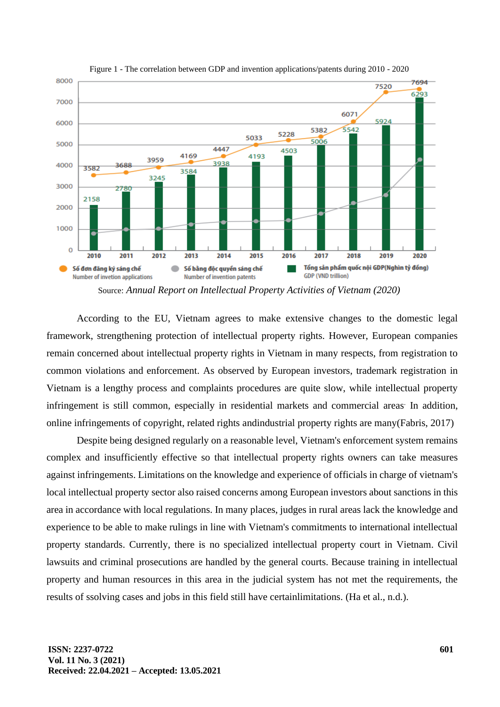

Figure 1 - The correlation between GDP and invention applications/patents during 2010 - 2020

Source: *Annual Report on Intellectual Property Activities of Vietnam (2020)*

According to the EU, Vietnam agrees to make extensive changes to the domestic legal framework, strengthening protection of intellectual property rights. However, European companies remain concerned about intellectual property rights in Vietnam in many respects, from registration to common violations and enforcement. As observed by European investors, trademark registration in Vietnam is a lengthy process and complaints procedures are quite slow, while intellectual property infringement is still common, especially in residential markets and commercial areas In addition, online infringements of copyright, related rights andindustrial property rights are many(Fabris, 2017)

Despite being designed regularly on a reasonable level, Vietnam's enforcement system remains complex and insufficiently effective so that intellectual property rights owners can take measures against infringements. Limitations on the knowledge and experience of officials in charge of vietnam's local intellectual property sector also raised concerns among European investors about sanctions in this area in accordance with local regulations. In many places, judges in rural areas lack the knowledge and experience to be able to make rulings in line with Vietnam's commitments to international intellectual property standards. Currently, there is no specialized intellectual property court in Vietnam. Civil lawsuits and criminal prosecutions are handled by the general courts. Because training in intellectual property and human resources in this area in the judicial system has not met the requirements, the results of ssolving cases and jobs in this field still have certainlimitations. (Ha et al., n.d.).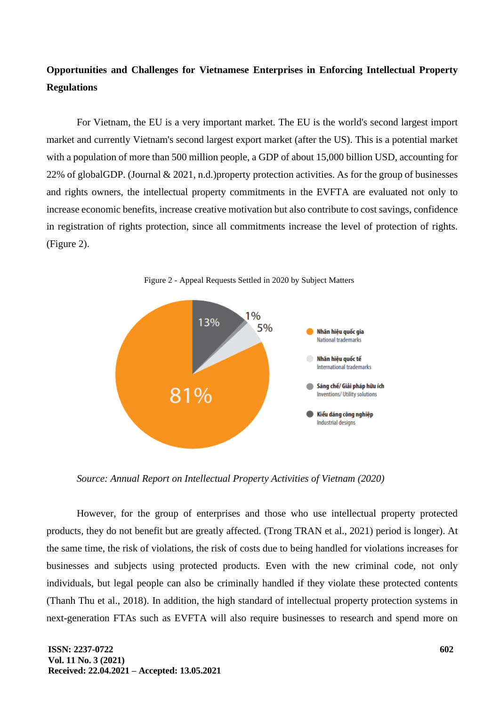# **Opportunities and Challenges for Vietnamese Enterprises in Enforcing Intellectual Property Regulations**

For Vietnam, the EU is a very important market. The EU is the world's second largest import market and currently Vietnam's second largest export market (after the US). This is a potential market with a population of more than 500 million people, a GDP of about 15,000 billion USD, accounting for 22% of globalGDP. (Journal & 2021, n.d.)property protection activities. As for the group of businesses and rights owners, the intellectual property commitments in the EVFTA are evaluated not only to increase economic benefits, increase creative motivation but also contribute to cost savings, confidence in registration of rights protection, since all commitments increase the level of protection of rights. (Figure 2).



Figure 2 - Appeal Requests Settled in 2020 by Subject Matters

*Source: Annual Report on Intellectual Property Activities of Vietnam (2020)*

However, for the group of enterprises and those who use intellectual property protected products, they do not benefit but are greatly affected. (Trong TRAN et al., 2021) period is longer). At the same time, the risk of violations, the risk of costs due to being handled for violations increases for businesses and subjects using protected products. Even with the new criminal code, not only individuals, but legal people can also be criminally handled if they violate these protected contents (Thanh Thu et al., 2018). In addition, the high standard of intellectual property protection systems in next-generation FTAs such as EVFTA will also require businesses to research and spend more on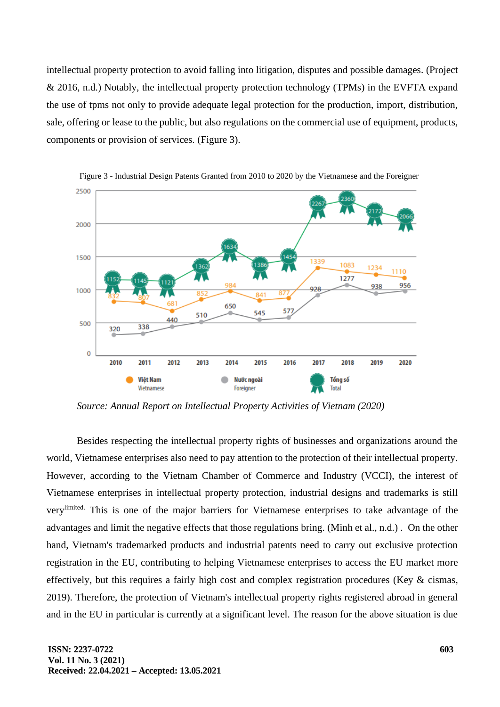intellectual property protection to avoid falling into litigation, disputes and possible damages. (Project & 2016, n.d.) Notably, the intellectual property protection technology (TPMs) in the EVFTA expand the use of tpms not only to provide adequate legal protection for the production, import, distribution, sale, offering or lease to the public, but also regulations on the commercial use of equipment, products, components or provision of services. (Figure 3).



Figure 3 - Industrial Design Patents Granted from 2010 to 2020 by the Vietnamese and the Foreigner

*Source: Annual Report on Intellectual Property Activities of Vietnam (2020)*

Besides respecting the intellectual property rights of businesses and organizations around the world, Vietnamese enterprises also need to pay attention to the protection of their intellectual property. However, according to the Vietnam Chamber of Commerce and Industry (VCCI), the interest of Vietnamese enterprises in intellectual property protection, industrial designs and trademarks is still verylimited. This is one of the major barriers for Vietnamese enterprises to take advantage of the advantages and limit the negative effects that those regulations bring. (Minh et al., n.d.) . On the other hand, Vietnam's trademarked products and industrial patents need to carry out exclusive protection registration in the EU, contributing to helping Vietnamese enterprises to access the EU market more effectively, but this requires a fairly high cost and complex registration procedures (Key & cismas, 2019). Therefore, the protection of Vietnam's intellectual property rights registered abroad in general and in the EU in particular is currently at a significant level. The reason for the above situation is due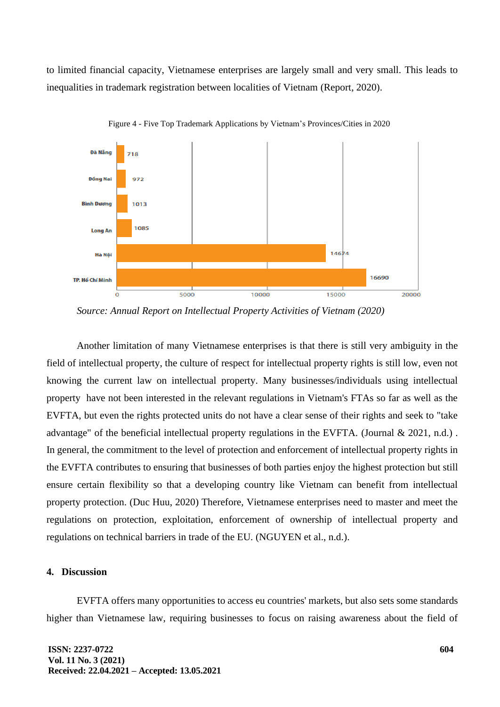to limited financial capacity, Vietnamese enterprises are largely small and very small. This leads to inequalities in trademark registration between localities of Vietnam (Report, 2020).



Figure 4 - Five Top Trademark Applications by Vietnam's Provinces/Cities in 2020

*Source: Annual Report on Intellectual Property Activities of Vietnam (2020)*

Another limitation of many Vietnamese enterprises is that there is still very ambiguity in the field of intellectual property, the culture of respect for intellectual property rights is still low, even not knowing the current law on intellectual property. Many businesses/individuals using intellectual property have not been interested in the relevant regulations in Vietnam's FTAs so far as well as the EVFTA, but even the rights protected units do not have a clear sense of their rights and seek to "take advantage" of the beneficial intellectual property regulations in the EVFTA. (Journal & 2021, n.d.) . In general, the commitment to the level of protection and enforcement of intellectual property rights in the EVFTA contributes to ensuring that businesses of both parties enjoy the highest protection but still ensure certain flexibility so that a developing country like Vietnam can benefit from intellectual property protection. (Duc Huu, 2020) Therefore, Vietnamese enterprises need to master and meet the regulations on protection, exploitation, enforcement of ownership of intellectual property and regulations on technical barriers in trade of the EU. (NGUYEN et al., n.d.).

# **4. Discussion**

EVFTA offers many opportunities to access eu countries' markets, but also sets some standards higher than Vietnamese law, requiring businesses to focus on raising awareness about the field of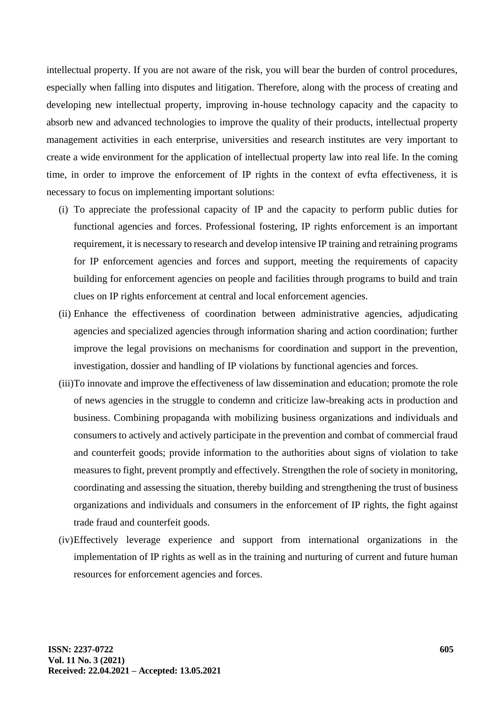intellectual property. If you are not aware of the risk, you will bear the burden of control procedures, especially when falling into disputes and litigation. Therefore, along with the process of creating and developing new intellectual property, improving in-house technology capacity and the capacity to absorb new and advanced technologies to improve the quality of their products, intellectual property management activities in each enterprise, universities and research institutes are very important to create a wide environment for the application of intellectual property law into real life. In the coming time, in order to improve the enforcement of IP rights in the context of evfta effectiveness, it is necessary to focus on implementing important solutions:

- (i) To appreciate the professional capacity of IP and the capacity to perform public duties for functional agencies and forces. Professional fostering, IP rights enforcement is an important requirement, it is necessary to research and develop intensive IP training and retraining programs for IP enforcement agencies and forces and support, meeting the requirements of capacity building for enforcement agencies on people and facilities through programs to build and train clues on IP rights enforcement at central and local enforcement agencies.
- (ii) Enhance the effectiveness of coordination between administrative agencies, adjudicating agencies and specialized agencies through information sharing and action coordination; further improve the legal provisions on mechanisms for coordination and support in the prevention, investigation, dossier and handling of IP violations by functional agencies and forces.
- (iii)To innovate and improve the effectiveness of law dissemination and education; promote the role of news agencies in the struggle to condemn and criticize law-breaking acts in production and business. Combining propaganda with mobilizing business organizations and individuals and consumers to actively and actively participate in the prevention and combat of commercial fraud and counterfeit goods; provide information to the authorities about signs of violation to take measures to fight, prevent promptly and effectively. Strengthen the role of society in monitoring, coordinating and assessing the situation, thereby building and strengthening the trust of business organizations and individuals and consumers in the enforcement of IP rights, the fight against trade fraud and counterfeit goods.
- (iv)Effectively leverage experience and support from international organizations in the implementation of IP rights as well as in the training and nurturing of current and future human resources for enforcement agencies and forces.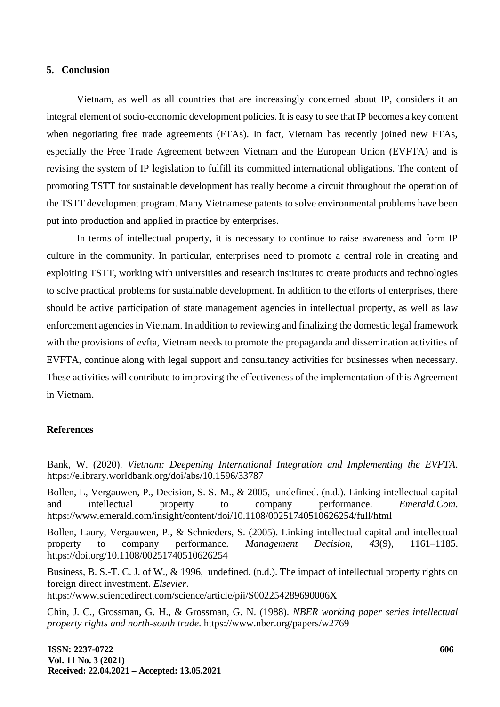#### **5. Conclusion**

Vietnam, as well as all countries that are increasingly concerned about IP, considers it an integral element of socio-economic development policies. It is easy to see that IP becomes a key content when negotiating free trade agreements (FTAs). In fact, Vietnam has recently joined new FTAs, especially the Free Trade Agreement between Vietnam and the European Union (EVFTA) and is revising the system of IP legislation to fulfill its committed international obligations. The content of promoting TSTT for sustainable development has really become a circuit throughout the operation of the TSTT development program. Many Vietnamese patents to solve environmental problems have been put into production and applied in practice by enterprises.

In terms of intellectual property, it is necessary to continue to raise awareness and form IP culture in the community. In particular, enterprises need to promote a central role in creating and exploiting TSTT, working with universities and research institutes to create products and technologies to solve practical problems for sustainable development. In addition to the efforts of enterprises, there should be active participation of state management agencies in intellectual property, as well as law enforcement agencies in Vietnam. In addition to reviewing and finalizing the domestic legal framework with the provisions of evfta, Vietnam needs to promote the propaganda and dissemination activities of EVFTA, continue along with legal support and consultancy activities for businesses when necessary. These activities will contribute to improving the effectiveness of the implementation of this Agreement in Vietnam.

## **References**

Bank, W. (2020). *Vietnam: Deepening International Integration and Implementing the EVFTA*. https://elibrary.worldbank.org/doi/abs/10.1596/33787

Bollen, L, Vergauwen, P., Decision, S. S.-M., & 2005, undefined. (n.d.). Linking intellectual capital and intellectual property to company performance. *Emerald.Com*. https://www.emerald.com/insight/content/doi/10.1108/00251740510626254/full/html

Bollen, Laury, Vergauwen, P., & Schnieders, S. (2005). Linking intellectual capital and intellectual property to company performance. *Management Decision*, *43*(9), 1161–1185. https://doi.org/10.1108/00251740510626254

Business, B. S.-T. C. J. of W., & 1996, undefined. (n.d.). The impact of intellectual property rights on foreign direct investment. *Elsevier*. https://www.sciencedirect.com/science/article/pii/S002254289690006X

Chin, J. C., Grossman, G. H., & Grossman, G. N. (1988). *NBER working paper series intellectual property rights and north-south trade*. https://www.nber.org/papers/w2769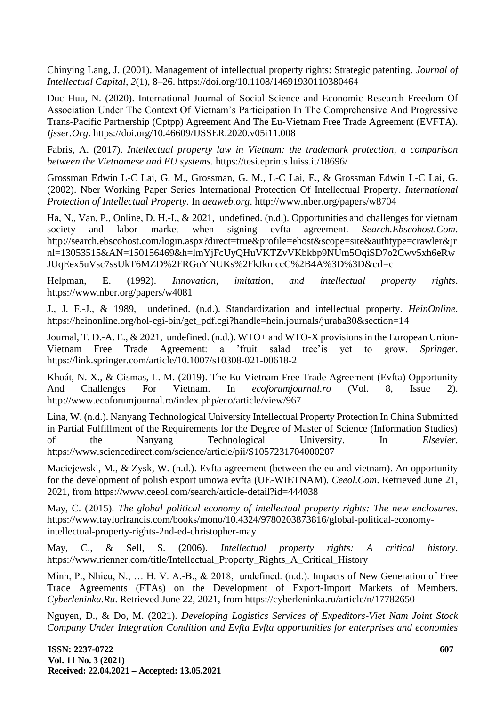Chinying Lang, J. (2001). Management of intellectual property rights: Strategic patenting. *Journal of Intellectual Capital*, *2*(1), 8–26. https://doi.org/10.1108/14691930110380464

Duc Huu, N. (2020). International Journal of Social Science and Economic Research Freedom Of Association Under The Context Of Vietnam's Participation In The Comprehensive And Progressive Trans-Pacific Partnership (Cptpp) Agreement And The Eu-Vietnam Free Trade Agreement (EVFTA). *Ijsser.Org*. https://doi.org/10.46609/IJSSER.2020.v05i11.008

Fabris, A. (2017). *Intellectual property law in Vietnam: the trademark protection, a comparison between the Vietnamese and EU systems*. https://tesi.eprints.luiss.it/18696/

Grossman Edwin L-C Lai, G. M., Grossman, G. M., L-C Lai, E., & Grossman Edwin L-C Lai, G. (2002). Nber Working Paper Series International Protection Of Intellectual Property. *International Protection of Intellectual Property.* In *aeaweb.org*. http://www.nber.org/papers/w8704

Ha, N., Van, P., Online, D. H.-I., & 2021, undefined. (n.d.). Opportunities and challenges for vietnam society and labor market when signing evfta agreement. *Search.Ebscohost.Com*. http://search.ebscohost.com/login.aspx?direct=true&profile=ehost&scope=site&authtype=crawler&jr nl=13053515&AN=150156469&h=lmYjFcUyQHuVKTZvVKbkbp9NUm5OqiSD7o2Cwv5xh6eRw JUqEex5uVsc7ssUkT6MZD%2FRGoYNUKs%2FkJkmccC%2B4A%3D%3D&crl=c

Helpman, E. (1992). *Innovation, imitation, and intellectual property rights*. https://www.nber.org/papers/w4081

J., J. F.-J., & 1989, undefined. (n.d.). Standardization and intellectual property. *HeinOnline*. https://heinonline.org/hol-cgi-bin/get\_pdf.cgi?handle=hein.journals/juraba30&section=14

Journal, T. D.-A. E., & 2021, undefined. (n.d.). WTO+ and WTO-X provisions in the European Union-Vietnam Free Trade Agreement: a 'fruit salad tree'is yet to grow. *Springer*. https://link.springer.com/article/10.1007/s10308-021-00618-2

Khoát, N. X., & Cismas, L. M. (2019). The Eu-Vietnam Free Trade Agreement (Evfta) Opportunity And Challenges For Vietnam. In *ecoforumjournal.ro* (Vol. 8, Issue 2). http://www.ecoforumjournal.ro/index.php/eco/article/view/967

Lina, W. (n.d.). Nanyang Technological University Intellectual Property Protection In China Submitted in Partial Fulfillment of the Requirements for the Degree of Master of Science (Information Studies) of the Nanyang Technological University. In *Elsevier*. https://www.sciencedirect.com/science/article/pii/S1057231704000207

Maciejewski, M., & Zysk, W. (n.d.). Evfta agreement (between the eu and vietnam). An opportunity for the development of polish export umowa evfta (UE-WIETNAM). *Ceeol.Com*. Retrieved June 21, 2021, from https://www.ceeol.com/search/article-detail?id=444038

May, C. (2015). *The global political economy of intellectual property rights: The new enclosures*. https://www.taylorfrancis.com/books/mono/10.4324/9780203873816/global-political-economyintellectual-property-rights-2nd-ed-christopher-may

May, C., & Sell, S. (2006). *Intellectual property rights: A critical history*. https://www.rienner.com/title/Intellectual\_Property\_Rights\_A\_Critical\_History

Minh, P., Nhieu, N., … H. V. A.-В., & 2018, undefined. (n.d.). Impacts of New Generation of Free Trade Agreements (FTAs) on the Development of Export-Import Markets of Members. *Cyberleninka.Ru*. Retrieved June 22, 2021, from https://cyberleninka.ru/article/n/17782650

Nguyen, D., & Do, M. (2021). *Developing Logistics Services of Expeditors-Viet Nam Joint Stock Company Under Integration Condition and Evfta Evfta opportunities for enterprises and economies* 

**ISSN: 2237-0722 Vol. 11 No. 3 (2021) Received: 22.04.2021 – Accepted: 13.05.2021**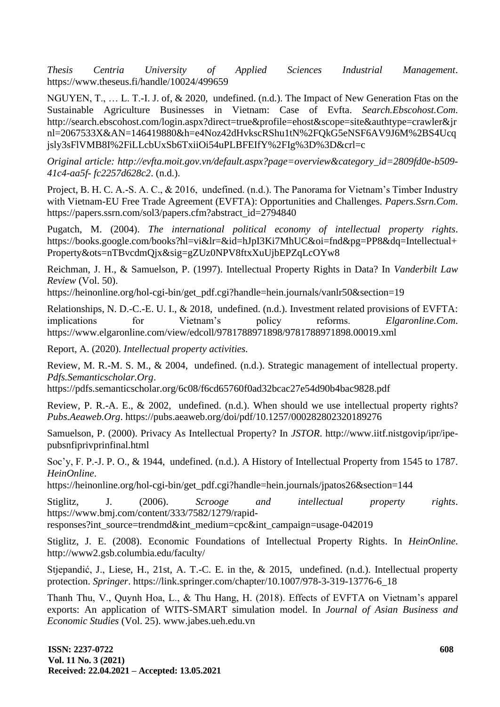*Thesis Centria University of Applied Sciences Industrial Management*. https://www.theseus.fi/handle/10024/499659

NGUYEN, T., … L. T.-I. J. of, & 2020, undefined. (n.d.). The Impact of New Generation Ftas on the Sustainable Agriculture Businesses in Vietnam: Case of Evfta. *Search.Ebscohost.Com*. http://search.ebscohost.com/login.aspx?direct=true&profile=ehost&scope=site&authtype=crawler&jr nl=2067533X&AN=146419880&h=e4Noz42dHvkscRShu1tN%2FQkG5eNSF6AV9J6M%2BS4Ucq jsly3sFlVMB8I%2FiLLcbUxSb6TxiiOi54uPLBFEIfY%2FIg%3D%3D&crl=c

*Original article: http://evfta.moit.gov.vn/default.aspx?page=overview&category\_id=2809fd0e-b509- 41c4-aa5f- fc2257d628c2*. (n.d.).

Project, B. H. C. A.-S. A. C., & 2016, undefined. (n.d.). The Panorama for Vietnam's Timber Industry with Vietnam-EU Free Trade Agreement (EVFTA): Opportunities and Challenges. *Papers.Ssrn.Com*. https://papers.ssrn.com/sol3/papers.cfm?abstract\_id=2794840

Pugatch, M. (2004). *The international political economy of intellectual property rights*. https://books.google.com/books?hl=vi&lr=&id=hJpI3Ki7MhUC&oi=fnd&pg=PP8&dq=Intellectual+ Property&ots=nTBvcdmQjx&sig=gZUz0NPV8ftxXuUjbEPZqLcOYw8

Reichman, J. H., & Samuelson, P. (1997). Intellectual Property Rights in Data? In *Vanderbilt Law Review* (Vol. 50).

https://heinonline.org/hol-cgi-bin/get\_pdf.cgi?handle=hein.journals/vanlr50&section=19

Relationships, N. D.-C.-E. U. I., & 2018, undefined. (n.d.). Investment related provisions of EVFTA: implications for Vietnam's policy reforms. *Elgaronline.Com*. https://www.elgaronline.com/view/edcoll/9781788971898/9781788971898.00019.xml

Report, A. (2020). *Intellectual property activities.*

Review, M. R.-M. S. M., & 2004, undefined. (n.d.). Strategic management of intellectual property. *Pdfs.Semanticscholar.Org*.

https://pdfs.semanticscholar.org/6c08/f6cd65760f0ad32bcac27e54d90b4bac9828.pdf

Review, P. R.-A. E., & 2002, undefined. (n.d.). When should we use intellectual property rights? *Pubs.Aeaweb.Org*. https://pubs.aeaweb.org/doi/pdf/10.1257/000282802320189276

Samuelson, P. (2000). Privacy As Intellectual Property? In *JSTOR*. http://www.iitf.nistgovip/ipr/ipepubsnfiprivprinfinal.html

Soc'y, F. P.-J. P. O., & 1944, undefined. (n.d.). A History of Intellectual Property from 1545 to 1787. *HeinOnline*.

https://heinonline.org/hol-cgi-bin/get\_pdf.cgi?handle=hein.journals/jpatos26&section=144

Stiglitz, J. (2006). *Scrooge and intellectual property rights*. https://www.bmj.com/content/333/7582/1279/rapid-

responses?int\_source=trendmd&int\_medium=cpc&int\_campaign=usage-042019

Stiglitz, J. E. (2008). Economic Foundations of Intellectual Property Rights. In *HeinOnline*. http://www2.gsb.columbia.edu/faculty/

Stjepandić, J., Liese, H., 21st, A. T.-C. E. in the, & 2015, undefined. (n.d.). Intellectual property protection. *Springer*. https://link.springer.com/chapter/10.1007/978-3-319-13776-6\_18

Thanh Thu, V., Quynh Hoa, L., & Thu Hang, H. (2018). Effects of EVFTA on Vietnam's apparel exports: An application of WITS-SMART simulation model. In *Journal of Asian Business and Economic Studies* (Vol. 25). www.jabes.ueh.edu.vn